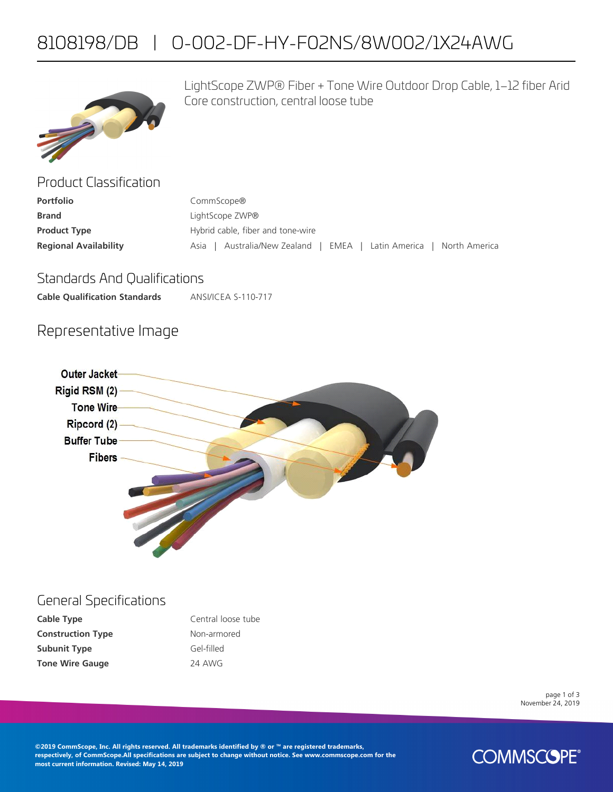# 8108198/DB | O-002-DF-HY-F02NS/8W002/1X24AWG



LightScope ZWP® Fiber + Tone Wire Outdoor Drop Cable, 1–12 fiber Arid Core construction, central loose tube

| Product Classification       |                                                                      |  |  |
|------------------------------|----------------------------------------------------------------------|--|--|
| <b>Portfolio</b>             | CommScope®                                                           |  |  |
| <b>Brand</b>                 | LightScope ZWP®                                                      |  |  |
| <b>Product Type</b>          | Hybrid cable, fiber and tone-wire                                    |  |  |
| <b>Regional Availability</b> | Australia/New Zealand   EMEA   Latin America   North America<br>Asia |  |  |

### Standards And Qualifications

**Cable Qualification Standards** ANSI/ICEA S-110-717

## Representative Image



#### General Specifications

| Cable Type               | Central loose tube |
|--------------------------|--------------------|
| <b>Construction Type</b> | Non-armored        |
| <b>Subunit Type</b>      | Gel-filled         |
| <b>Tone Wire Gauge</b>   | 24 AWG             |

page 1 of 3 November 24, 2019

**©2019 CommScope, Inc. All rights reserved. All trademarks identified by ® or ™ are registered trademarks, respectively, of CommScope.All specifications are subject to change without notice. See www.commscope.com for the most current information. Revised: May 14, 2019**

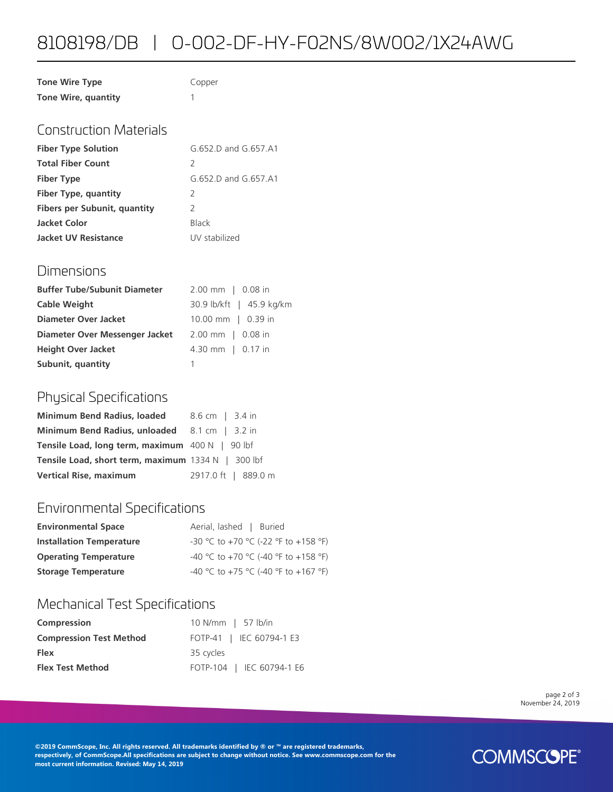## 8108198/DB | O-002-DF-HY-F02NS/8W002/1X24AWG

| <b>Tone Wire Type</b> | Copper |
|-----------------------|--------|
| Tone Wire, quantity   |        |

## Construction Materials

| <b>Fiber Type Solution</b>   | G 652 D and G 657 A1 |
|------------------------------|----------------------|
| <b>Total Fiber Count</b>     | 2                    |
| <b>Fiber Type</b>            | G.652.D and G.657.A1 |
| Fiber Type, quantity         | 2                    |
| Fibers per Subunit, quantity | $\mathcal{L}$        |
| Jacket Color                 | <b>Black</b>         |
| <b>Jacket UV Resistance</b>  | UV stabilized        |

### Dimensions

| <b>Buffer Tube/Subunit Diameter</b> | $2.00$ mm $\mid$ 0.08 in |
|-------------------------------------|--------------------------|
| <b>Cable Weight</b>                 | 30.9 lb/kft   45.9 kg/km |
| Diameter Over Jacket                | 10.00 mm   0.39 in       |
| Diameter Over Messenger Jacket      | 2.00 mm   0.08 in        |
| <b>Height Over Jacket</b>           | 4.30 mm   0.17 in        |
| Subunit, quantity                   |                          |

## Physical Specifications

| Minimum Bend Radius, loaded 8.6 cm   3.4 in               |                     |
|-----------------------------------------------------------|---------------------|
| Minimum Bend Radius, unloaded 8.1 cm   3.2 in             |                     |
| Tensile Load, long term, maximum 400 N   90 lbf           |                     |
| <b>Tensile Load, short term, maximum</b> 1334 N   300 lbf |                     |
| <b>Vertical Rise, maximum</b>                             | 2917.0 ft   889.0 m |

## Environmental Specifications

| <b>Environmental Space</b>      | Aerial, lashed   Buried              |
|---------------------------------|--------------------------------------|
| <b>Installation Temperature</b> | -30 °C to +70 °C (-22 °F to +158 °F) |
| <b>Operating Temperature</b>    | -40 °C to +70 °C (-40 °F to +158 °F) |
| <b>Storage Temperature</b>      | -40 °C to +75 °C (-40 °F to +167 °F) |

## Mechanical Test Specifications

| Compression                    | 10 N/mm   57 lb/in        |
|--------------------------------|---------------------------|
| <b>Compression Test Method</b> | FOTP-41   IEC 60794-1 E3  |
| <b>Flex</b>                    | 35 cycles                 |
| <b>Flex Test Method</b>        | FOTP-104   IEC 60794-1 E6 |

page 2 of 3 November 24, 2019

**©2019 CommScope, Inc. All rights reserved. All trademarks identified by ® or ™ are registered trademarks, respectively, of CommScope.All specifications are subject to change without notice. See www.commscope.com for the most current information. Revised: May 14, 2019**